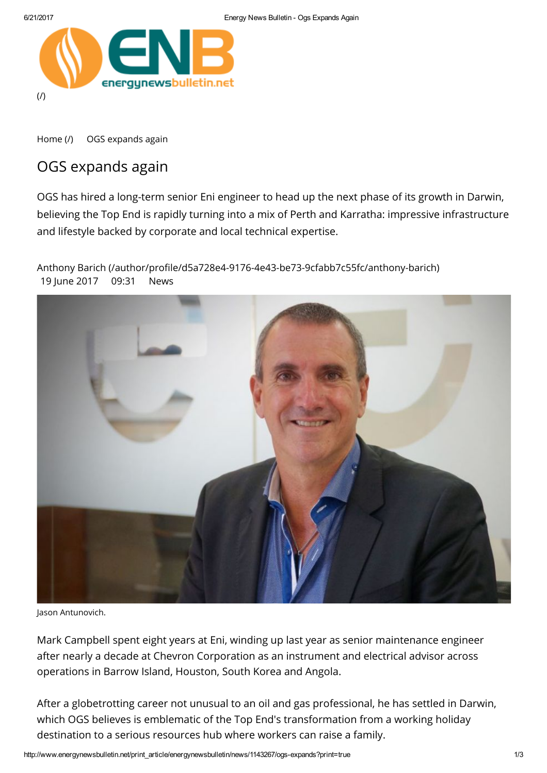

[Home](http://www.energynewsbulletin.net/) (/) OGS expands again

## OGS expands again

OGS has hired a long-term senior Eni engineer to head up the next phase of its growth in Darwin, believing the Top End is rapidly turning into a mix of Perth and Karratha: impressive infrastructure and lifestyle backed by corporate and local technical expertise.

Anthony Barich (/author/profile/d5a728e4-9176-4e43-be73-9cfabb7c55fc/anthony-barich) 19 June 2017 09:31 News



Jason Antunovich.

Mark Campbell spent eight years at Eni, winding up last year as senior maintenance engineer after nearly a decade at Chevron Corporation as an instrument and electrical advisor across operations in Barrow Island, Houston, South Korea and Angola.

After a globetrotting career not unusual to an oil and gas professional, he has settled in Darwin, which OGS believes is emblematic of the Top End's transformation from a working holiday destination to a serious resources hub where workers can raise a family.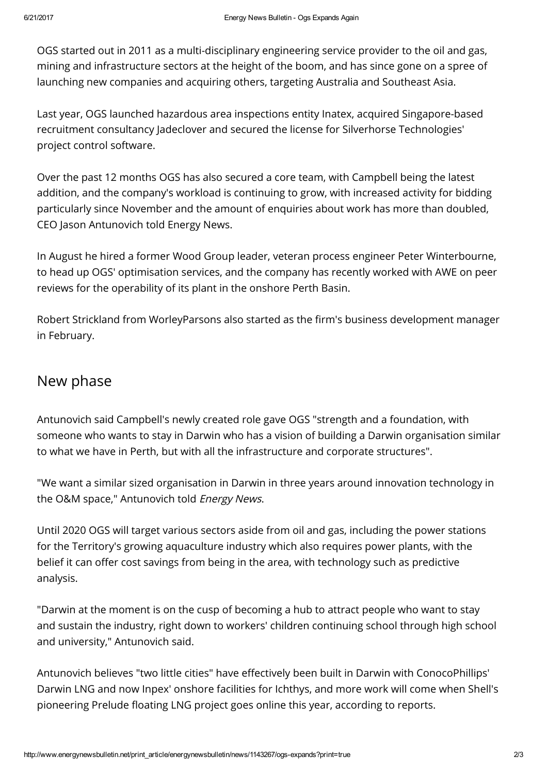OGS started out in 2011 as a multi-disciplinary engineering service provider to the oil and gas, mining and infrastructure sectors at the height of the boom, and has since gone on a spree of launching new companies and acquiring others, targeting Australia and Southeast Asia.

Last year, OGS launched hazardous area inspections entity Inatex, acquired Singapore-based recruitment consultancy Jadeclover and secured the license for Silverhorse Technologies' project control software.

Over the past 12 months OGS has also secured a core team, with Campbell being the latest addition, and the company's workload is continuing to grow, with increased activity for bidding particularly since November and the amount of enquiries about work has more than doubled, CEO Jason Antunovich told Energy News.

In August he hired a former Wood Group leader, veteran process engineer Peter Winterbourne, to head up OGS' optimisation services, and the company has recently worked with AWE on peer reviews for the operability of its plant in the onshore Perth Basin.

Robert Strickland from WorleyParsons also started as the firm's business development manager in February.

## New phase

Antunovich said Campbell's newly created role gave OGS "strength and a foundation, with someone who wants to stay in Darwin who has a vision of building a Darwin organisation similar to what we have in Perth, but with all the infrastructure and corporate structures".

"We want a similar sized organisation in Darwin in three years around innovation technology in the O&M space," Antunovich told Energy News.

Until 2020 OGS will target various sectors aside from oil and gas, including the power stations for the Territory's growing aquaculture industry which also requires power plants, with the belief it can offer cost savings from being in the area, with technology such as predictive analysis.

"Darwin at the moment is on the cusp of becoming a hub to attract people who want to stay and sustain the industry, right down to workers' children continuing school through high school and university," Antunovich said.

Antunovich believes "two little cities" have effectively been built in Darwin with ConocoPhillips' Darwin LNG and now Inpex' onshore facilities for Ichthys, and more work will come when Shell's pioneering Prelude floating LNG project goes online this year, according to reports.